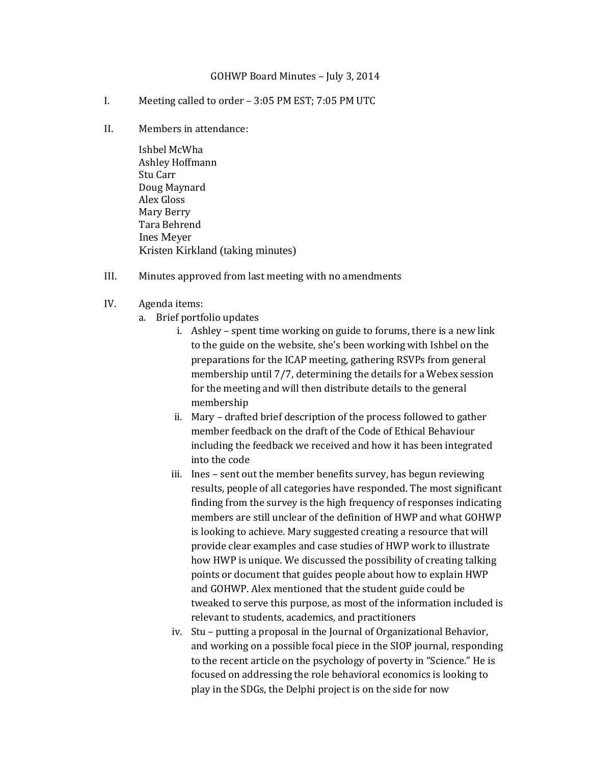## GOHWP Board Minutes – July 3, 2014

- I. Meeting called to order 3:05 PM EST; 7:05 PM UTC
- II. Members in attendance:

Ishbel McWha Ashley Hoffmann Stu Carr Doug Maynard Alex Gloss Mary Berry Tara Behrend Ines Meyer Kristen Kirkland (taking minutes)

- III. Minutes approved from last meeting with no amendments
- IV. Agenda items:
	- a. Brief portfolio updates
		- i. Ashley spent time working on guide to forums, there is a new link to the guide on the website, she's been working with Ishbel on the preparations for the ICAP meeting, gathering RSVPs from general membership until 7/7, determining the details for a Webex session for the meeting and will then distribute details to the general membership
		- ii. Mary drafted brief description of the process followed to gather member feedback on the draft of the Code of Ethical Behaviour including the feedback we received and how it has been integrated into the code
		- iii. Ines sent out the member benefits survey, has begun reviewing results, people of all categories have responded. The most significant finding from the survey is the high frequency of responses indicating members are still unclear of the definition of HWP and what GOHWP is looking to achieve. Mary suggested creating a resource that will provide clear examples and case studies of HWP work to illustrate how HWP is unique. We discussed the possibility of creating talking points or document that guides people about how to explain HWP and GOHWP. Alex mentioned that the student guide could be tweaked to serve this purpose, as most of the information included is relevant to students, academics, and practitioners
		- iv. Stu putting a proposal in the Journal of Organizational Behavior, and working on a possible focal piece in the SIOP journal, responding to the recent article on the psychology of poverty in "Science." He is focused on addressing the role behavioral economics is looking to play in the SDGs, the Delphi project is on the side for now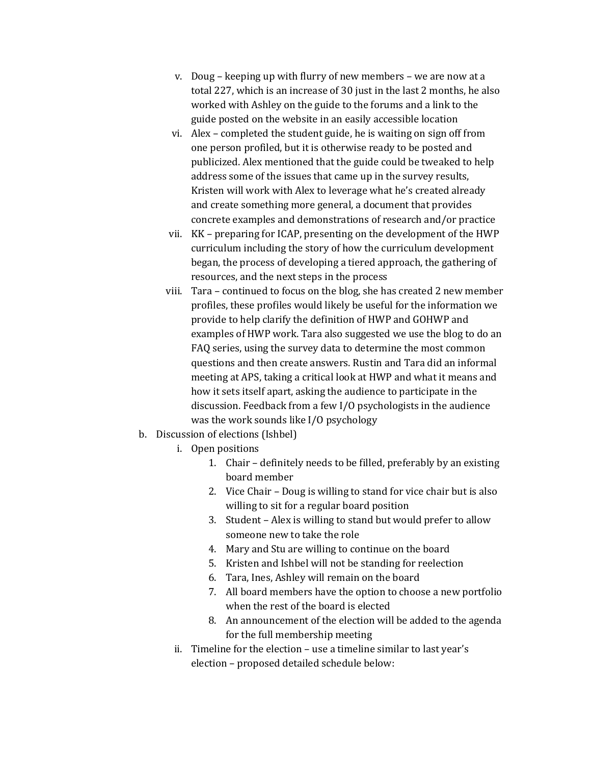- v. Doug keeping up with flurry of new members we are now at a total 227, which is an increase of 30 just in the last 2 months, he also worked with Ashley on the guide to the forums and a link to the guide posted on the website in an easily accessible location
- vi. Alex completed the student guide, he is waiting on sign off from one person profiled, but it is otherwise ready to be posted and publicized. Alex mentioned that the guide could be tweaked to help address some of the issues that came up in the survey results, Kristen will work with Alex to leverage what he's created already and create something more general, a document that provides concrete examples and demonstrations of research and/or practice
- vii. KK preparing for ICAP, presenting on the development of the HWP curriculum including the story of how the curriculum development began, the process of developing a tiered approach, the gathering of resources, and the next steps in the process
- viii. Tara continued to focus on the blog, she has created 2 new member profiles, these profiles would likely be useful for the information we provide to help clarify the definition of HWP and GOHWP and examples of HWP work. Tara also suggested we use the blog to do an FAQ series, using the survey data to determine the most common questions and then create answers. Rustin and Tara did an informal meeting at APS, taking a critical look at HWP and what it means and how it sets itself apart, asking the audience to participate in the discussion. Feedback from a few I/O psychologists in the audience was the work sounds like I/O psychology
- b. Discussion of elections (Ishbel)
	- i. Open positions
		- 1. Chair definitely needs to be filled, preferably by an existing board member
		- 2. Vice Chair Doug is willing to stand for vice chair but is also willing to sit for a regular board position
		- 3. Student Alex is willing to stand but would prefer to allow someone new to take the role
		- 4. Mary and Stu are willing to continue on the board
		- 5. Kristen and Ishbel will not be standing for reelection
		- 6. Tara, Ines, Ashley will remain on the board
		- 7. All board members have the option to choose a new portfolio when the rest of the board is elected
		- 8. An announcement of the election will be added to the agenda for the full membership meeting
	- ii. Timeline for the election use a timeline similar to last year's election – proposed detailed schedule below: